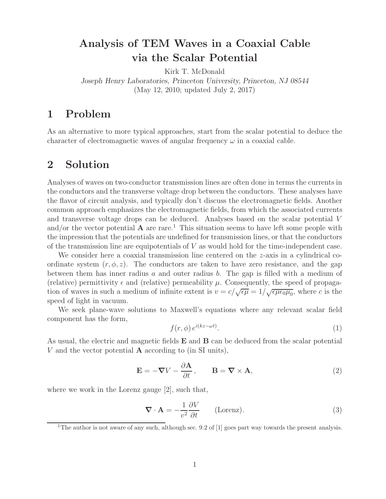# **Analysis of TEM Waves in a Coaxial Cable via the Scalar Potential**

Kirk T. McDonald *Joseph Henry Laboratories, Princeton University, Princeton, NJ 08544* (May 12, 2010; updated July 2, 2017)

### **1 Problem**

As an alternative to more typical approaches, start from the scalar potential to deduce the character of electromagnetic waves of angular frequency  $\omega$  in a coaxial cable.

### **2 Solution**

Analyses of waves on two-conductor transmission lines are often done in terms the currents in the conductors and the transverse voltage drop between the conductors. These analyses have the flavor of circuit analysis, and typically don't discuss the electromagnetic fields. Another common approach emphasizes the electromagnetic fields, from which the associated currents and transverse voltage drops can be deduced. Analyses based on the scalar potential V and/or the vector potential  $\bf{A}$  are rare.<sup>1</sup> This situation seems to have left some people with the impression that the potentials are undefined for transmission lines, or that the conductors of the transmission line are equipotentials of  $V$  as would hold for the time-independent case.

We consider here a coaxial transmission line centered on the  $z$ -axis in a cylindrical coordinate system  $(r, \phi, z)$ . The conductors are taken to have zero resistance, and the gap between them has inner radius  $a$  and outer radius  $b$ . The gap is filled with a medium of (relative) permittivity  $\epsilon$  and (relative) permeability  $\mu$ . Consequently, the speed of propagation of waves in such a medium of infinite extent is  $v = c/\sqrt{\epsilon\mu} = 1/\sqrt{\epsilon\mu\epsilon_0\mu_0}$ , where c is the speed of light in vacuum.

We seek plane-wave solutions to Maxwell's equations where any relevant scalar field component has the form,

$$
f(r,\phi) e^{i(kz-\omega t)}.
$$
 (1)

As usual, the electric and magnetic fields **E** and **B** can be deduced from the scalar potential V and the vector potential **A** according to (in SI units),

$$
\mathbf{E} = -\nabla V - \frac{\partial \mathbf{A}}{\partial t}, \qquad \mathbf{B} = \nabla \times \mathbf{A}, \tag{2}
$$

where we work in the Lorenz gauge [2], such that,

$$
\nabla \cdot \mathbf{A} = -\frac{1}{v^2} \frac{\partial V}{\partial t} \qquad \text{(Lorenz)}.
$$
 (3)

<sup>&</sup>lt;sup>1</sup>The author is not aware of any such, although sec. 9.2 of [1] goes part way towards the present analysis.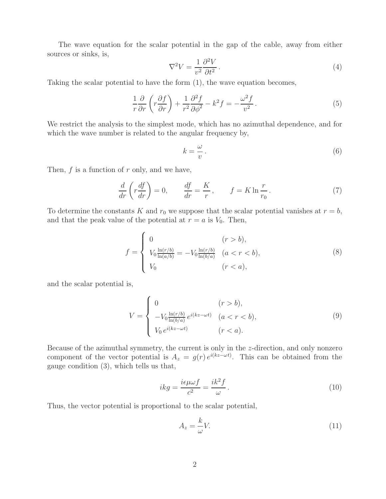The wave equation for the scalar potential in the gap of the cable, away from either sources or sinks, is,

$$
\nabla^2 V = \frac{1}{v^2} \frac{\partial^2 V}{\partial t^2} \,. \tag{4}
$$

Taking the scalar potential to have the form (1), the wave equation becomes,

$$
\frac{1}{r}\frac{\partial}{\partial r}\left(r\frac{\partial f}{\partial r}\right) + \frac{1}{r^2}\frac{\partial^2 f}{\partial \phi^2} - k^2 f = -\frac{\omega^2 f}{v^2}.
$$
\n(5)

We restrict the analysis to the simplest mode, which has no azimuthal dependence, and for which the wave number is related to the angular frequency by,

$$
k = \frac{\omega}{v} \,. \tag{6}
$$

Then,  $f$  is a function of  $r$  only, and we have,

$$
\frac{d}{dr}\left(r\frac{df}{dr}\right) = 0, \qquad \frac{df}{dr} = \frac{K}{r}, \qquad f = K \ln \frac{r}{r_0}.
$$
\n(7)

To determine the constants K and  $r_0$  we suppose that the scalar potential vanishes at  $r = b$ , and that the peak value of the potential at  $r = a$  is  $V_0$ . Then,

$$
f = \begin{cases} 0 & (r > b), \\ V_0 \frac{\ln(r/b)}{\ln(a/b)} = -V_0 \frac{\ln(r/b)}{\ln(b/a)} & (a < r < b), \\ V_0 & (r < a), \end{cases}
$$
(8)

and the scalar potential is,

$$
V = \begin{cases} 0 & (r > b), \\ -V_0 \frac{\ln(r/b)}{\ln(b/a)} e^{i(kz - \omega t)} & (a < r < b), \\ V_0 e^{i(kz - \omega t)} & (r < a). \end{cases}
$$
(9)

Because of the azimuthal symmetry, the current is only in the z-direction, and only nonzero component of the vector potential is  $A_z = g(r) e^{i(kz - \omega t)}$ . This can be obtained from the gauge condition (3), which tells us that,

$$
ikg = \frac{i\epsilon\mu\omega f}{c^2} = \frac{ik^2f}{\omega}.
$$
\n(10)

Thus, the vector potential is proportional to the scalar potential,

⎧

$$
A_z = \frac{k}{\omega} V. \tag{11}
$$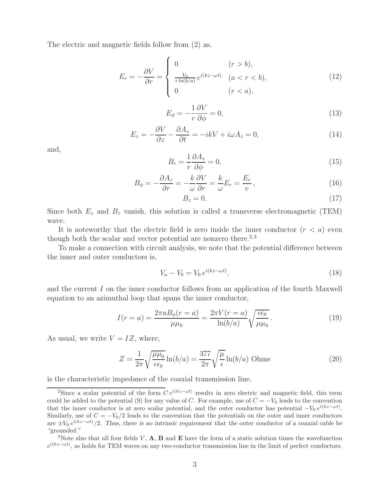The electric and magnetic fields follow from (2) as,

$$
E_r = -\frac{\partial V}{\partial r} = \begin{cases} 0 & (r > b), \\ \frac{V_0}{r \ln(b/a)} e^{i(kz - \omega t)} & (a < r < b), \\ 0 & (r < a), \end{cases} \tag{12}
$$

$$
E_{\phi} = -\frac{1}{r} \frac{\partial V}{\partial \phi} = 0, \tag{13}
$$

$$
E_z = -\frac{\partial V}{\partial z} - \frac{\partial A_z}{\partial t} = -ikV + i\omega A_z = 0,
$$
\n(14)

and,

$$
B_r = \frac{1}{r} \frac{\partial A_z}{\partial \phi} = 0,\tag{15}
$$

$$
B_{\phi} = -\frac{\partial A_z}{\partial r} = -\frac{k}{\omega} \frac{\partial V}{\partial r} = \frac{k}{\omega} E_r = \frac{E_r}{v},\qquad(16)
$$

$$
B_z = 0.\t\t(17)
$$

Since both  $E_z$  and  $B_z$  vanish, this solution is called a transverse electromagnetic (TEM) wave.

It is noteworthy that the electric field is zero inside the inner conductor  $(r < a)$  even though both the scalar and vector potential are nonzero there. $2,3$ 

To make a connection with circuit analysis, we note that the potential difference between the inner and outer conductors is,

$$
V_a - V_b = V_0 e^{i(kz - \omega t)},\tag{18}
$$

and the current I on the inner conductor follows from an application of the fourth Maxwell equation to an azimuthal loop that spans the inner conductor,

$$
I(r = a) = \frac{2\pi a B_{\phi}(r = a)}{\mu \mu_0} = \frac{2\pi V(r = a)}{\ln(b/a)} \sqrt{\frac{\epsilon \epsilon_0}{\mu \mu_0}}.
$$
(19)

As usual, we write  $V = IZ$ , where,

$$
Z = \frac{1}{2\pi} \sqrt{\frac{\mu\mu_0}{\epsilon\epsilon_0}} \ln(b/a) = \frac{377}{2\pi} \sqrt{\frac{\mu}{\epsilon}} \ln(b/a)
$$
 Ohms (20)

is the characteristic impedance of the coaxial transmission line.

<sup>&</sup>lt;sup>2</sup>Since a scalar potential of the form  $C e^{i(kz - \omega t)}$  results in zero electric and magnetic field, this term could be added to the potential (9) for any value of *C*. For example, use of  $C = -V_0$  leads to the convention that the inner conductor is at zero scalar potential, and the outer conductor has potential  $-V_0 e^{i(kz-\omega t)}$ . Similarly, use of  $C = -V_0/2$  leads to the convention that the potentials on the outer and inner conductors are <sup>±</sup>*V*<sup>0</sup> *<sup>e</sup>*<sup>i</sup>(kz*−*ωt)*/*2. *Thus, there is no intrinsic requirement that the outer conductor of a coaxial cable be "grounded."*

<sup>&</sup>lt;sup>3</sup>Note also that all four fields  $V$ ,  $\mathbf{A}$ ,  $\mathbf{B}$  and  $\mathbf{E}$  have the form of a static solution times the wavefunction *e*<sup>i(kz−ωt)</sup>, as holds for TEM waves on any two-conductor transmission line in the limit of perfect conductors.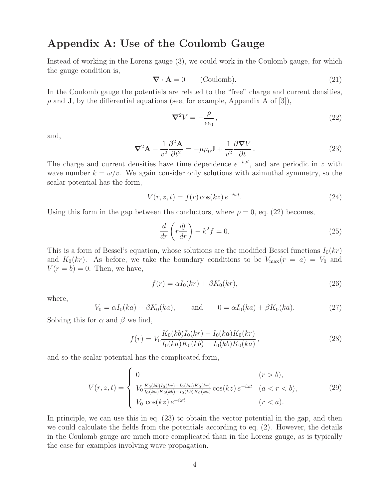#### **Appendix A: Use of the Coulomb Gauge**

Instead of working in the Lorenz gauge (3), we could work in the Coulomb gauge, for which the gauge condition is,

$$
\nabla \cdot \mathbf{A} = 0 \qquad \text{(Coulomb)}.
$$
 (21)

In the Coulomb gauge the potentials are related to the "free" charge and current densities,  $\rho$  and **J**, by the differential equations (see, for example, Appendix A of [3]),

$$
\nabla^2 V = -\frac{\rho}{\epsilon \epsilon_0},\tag{22}
$$

and,

$$
\nabla^2 \mathbf{A} - \frac{1}{v^2} \frac{\partial^2 \mathbf{A}}{\partial t^2} = -\mu \mu_0 \mathbf{J} + \frac{1}{v^2} \frac{\partial \nabla V}{\partial t}.
$$
 (23)

The charge and current densities have time dependence e*−*iωt, and are periodic in z with wave number  $k = \omega/v$ . We again consider only solutions with azimuthal symmetry, so the scalar potential has the form,

$$
V(r, z, t) = f(r) \cos(kz) e^{-i\omega t}.
$$
\n(24)

Using this form in the gap between the conductors, where  $\rho = 0$ , eq. (22) becomes,

$$
\frac{d}{dr}\left(r\frac{df}{dr}\right) - k^2 f = 0.\tag{25}
$$

This is a form of Bessel's equation, whose solutions are the modified Bessel functions  $I_0(kr)$ and  $K_0(kr)$ . As before, we take the boundary conditions to be  $V_{\text{max}}(r = a) = V_0$  and  $V(r = b) = 0$ . Then, we have,

$$
f(r) = \alpha I_0(kr) + \beta K_0(kr),\tag{26}
$$

where,

$$
V_0 = \alpha I_0(ka) + \beta K_0(ka), \quad \text{and} \quad 0 = \alpha I_0(ka) + \beta K_0(ka). \tag{27}
$$

Solving this for  $\alpha$  and  $\beta$  we find,

$$
f(r) = V_0 \frac{K_0(kb)I_0(kr) - I_0(ka)K_0(kr)}{I_0(ka)K_0(kb) - I_0(kb)K_0(ka)},
$$
\n(28)

and so the scalar potential has the complicated form,

$$
V(r, z, t) = \begin{cases} 0 & (r > b), \\ V_0 \frac{K_0(kb)I_0(kr) - I_0(ka)K_0(kr)}{I_0(ka)K_0(kb) - I_0(kb)K_0(ka)} \cos(kz) e^{-i\omega t} & (a < r < b), \\ V_0 \cos(kz) e^{-i\omega t} & (r < a). \end{cases}
$$
(29)

In principle, we can use this in eq. (23) to obtain the vector potential in the gap, and then we could calculate the fields from the potentials according to eq. (2). However, the details in the Coulomb gauge are much more complicated than in the Lorenz gauge, as is typically the case for examples involving wave propagation.